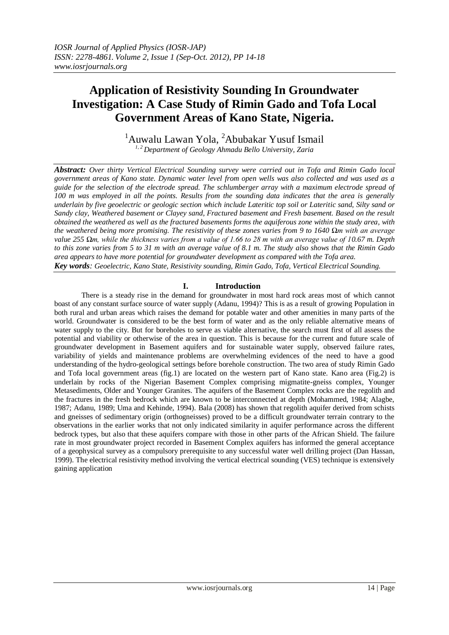# **Application of Resistivity Sounding In Groundwater Investigation: A Case Study of Rimin Gado and Tofa Local Government Areas of Kano State, Nigeria.**

<sup>1</sup>Auwalu Lawan Yola, <sup>2</sup>Abubakar Yusuf Ismail *1, 2 Department of Geology Ahmadu Bello University, Zaria*

*Abstract: Over thirty Vertical Electrical Sounding survey were carried out in Tofa and Rimin Gado local government areas of Kano state. Dynamic water level from open wells was also collected and was used as a guide for the selection of the electrode spread. The schlumberger array with a maximum electrode spread of 100 m was employed in all the points. Results from the sounding data indicates that the area is generally underlain by five geoelectric or geologic section which include Lateritic top soil or Lateritic sand, Silty sand or Sandy clay, Weathered basement or Clayey sand, Fractured basement and Fresh basement. Based on the result obtained the weathered as well as the fractured basements forms the aquiferous zone within the study area, with the weathered being more promising. The resistivity of these zones varies from 9 to 1640 Ωm with an average value 255 Ωm, while the thickness varies from a value of 1.66 to 28 m with an average value of 10.67 m. Depth to this zone varies from 5 to 31 m with an average value of 8.1 m. The study also shows that the Rimin Gado area appears to have more potential for groundwater development as compared with the Tofa area. Key words: Geoelectric, Kano State, Resistivity sounding, Rimin Gado, Tofa, Vertical Electrical Sounding.*

### **I. Introduction**

There is a steady rise in the demand for groundwater in most hard rock areas most of which cannot boast of any constant surface source of water supply (Adanu, 1994)? This is as a result of growing Population in both rural and urban areas which raises the demand for potable water and other amenities in many parts of the world. Groundwater is considered to be the best form of water and as the only reliable alternative means of water supply to the city. But for boreholes to serve as viable alternative, the search must first of all assess the potential and viability or otherwise of the area in question. This is because for the current and future scale of groundwater development in Basement aquifers and for sustainable water supply, observed failure rates, variability of yields and maintenance problems are overwhelming evidences of the need to have a good understanding of the hydro-geological settings before borehole construction. The two area of study Rimin Gado and Tofa local government areas (fig.1) are located on the western part of Kano state. Kano area (Fig.2) is underlain by rocks of the Nigerian Basement Complex comprising migmatite-gneiss complex, Younger Metasediments, Older and Younger Granites. The aquifers of the Basement Complex rocks are the regolith and the fractures in the fresh bedrock which are known to be interconnected at depth (Mohammed, 1984; Alagbe, 1987; Adanu, 1989; Uma and Kehinde, 1994). Bala (2008) has shown that regolith aquifer derived from schists and gneisses of sedimentary origin (orthogneisses) proved to be a difficult groundwater terrain contrary to the observations in the earlier works that not only indicated similarity in aquifer performance across the different bedrock types, but also that these aquifers compare with those in other parts of the African Shield. The failure rate in most groundwater project recorded in Basement Complex aquifers has informed the general acceptance of a geophysical survey as a compulsory prerequisite to any successful water well drilling project (Dan Hassan, 1999). The electrical resistivity method involving the vertical electrical sounding (VES) technique is extensively gaining application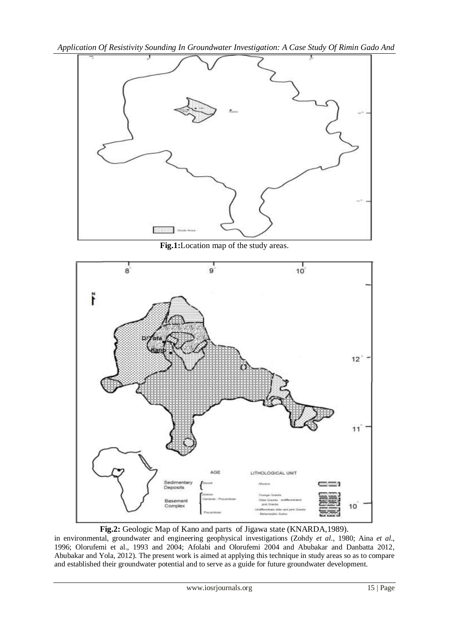*Application Of Resistivity Sounding In Groundwater Investigation: A Case Study Of Rimin Gado And* 



**Fig.1:**Location map of the study areas.



**Fig.2:** Geologic Map of Kano and parts of Jigawa state (KNARDA,1989).

in environmental, groundwater and engineering geophysical investigations (Zohdy *et al.*, 1980; Aina *et al*., 1996; Olorufemi et al., 1993 and 2004; Afolabi and Olorufemi 2004 and Abubakar and Danbatta 2012, Abubakar and Yola, 2012). The present work is aimed at applying this technique in study areas so as to compare and established their groundwater potential and to serve as a guide for future groundwater development.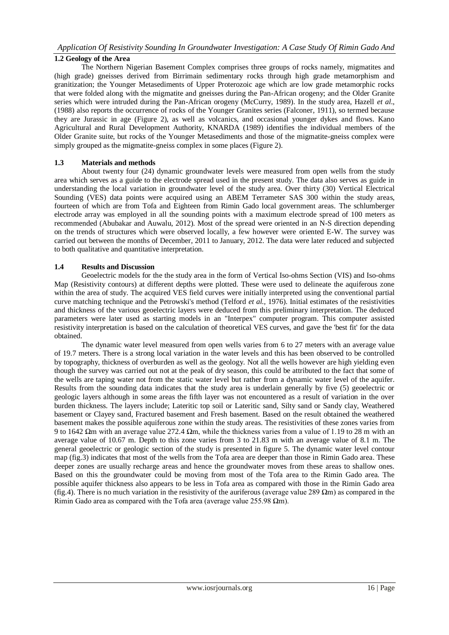# *Application Of Resistivity Sounding In Groundwater Investigation: A Case Study Of Rimin Gado And*

## **1.2 Geology of the Area**

 The Northern Nigerian Basement Complex comprises three groups of rocks namely, migmatites and (high grade) gneisses derived from Birrimain sedimentary rocks through high grade metamorphism and granitization; the Younger Metasediments of Upper Proterozoic age which are low grade metamorphic rocks that were folded along with the migmatite and gneisses during the Pan-African orogeny; and the Older Granite series which were intruded during the Pan-African orogeny (McCurry, 1989). In the study area, Hazell *et al*., (1988) also reports the occurrence of rocks of the Younger Granites series (Falconer, 1911), so termed because they are Jurassic in age (Figure 2), as well as volcanics, and occasional younger dykes and flows. Kano Agricultural and Rural Development Authority, KNARDA (1989) identifies the individual members of the Older Granite suite, but rocks of the Younger Metasediments and those of the migmatite-gneiss complex were simply grouped as the migmatite-gneiss complex in some places (Figure 2).

### **1.3 Materials and methods**

About twenty four (24) dynamic groundwater levels were measured from open wells from the study area which serves as a guide to the electrode spread used in the present study. The data also serves as guide in understanding the local variation in groundwater level of the study area. Over thirty (30) Vertical Electrical Sounding (VES) data points were acquired using an ABEM Terrameter SAS 300 within the study areas, fourteen of which are from Tofa and Eighteen from Rimin Gado local government areas. The schlumberger electrode array was employed in all the sounding points with a maximum electrode spread of 100 meters as recommended (Abubakar and Auwalu, 2012). Most of the spread were oriented in an N-S direction depending on the trends of structures which were observed locally, a few however were oriented E-W. The survey was carried out between the months of December, 2011 to January, 2012. The data were later reduced and subjected to both qualitative and quantitative interpretation.

### **1.4 Results and Discussion**

Geoelectric models for the the study area in the form of Vertical Iso-ohms Section (VIS) and Iso-ohms Map (Resistivity contours) at different depths were plotted. These were used to delineate the aquiferous zone within the area of study. The acquired VES field curves were initially interpreted using the conventional partial curve matching technique and the Petrowski's method (Telford *et al.,* 1976). Initial estimates of the resistivities and thickness of the various geoelectric layers were deduced from this preliminary interpretation. The deduced parameters were later used as starting models in an "Interpex" computer program. This computer assisted resistivity interpretation is based on the calculation of theoretical VES curves, and gave the 'best fit' for the data obtained.

 The dynamic water level measured from open wells varies from 6 to 27 meters with an average value of 19.7 meters. There is a strong local variation in the water levels and this has been observed to be controlled by topography, thickness of overburden as well as the geology. Not all the wells however are high yielding even though the survey was carried out not at the peak of dry season, this could be attributed to the fact that some of the wells are taping water not from the static water level but rather from a dynamic water level of the aquifer. Results from the sounding data indicates that the study area is underlain generally by five (5) geoelectric or geologic layers although in some areas the fifth layer was not encountered as a result of variation in the over burden thickness. The layers include; Lateritic top soil or Lateritic sand, Silty sand or Sandy clay, Weathered basement or Clayey sand, Fractured basement and Fresh basement. Based on the result obtained the weathered basement makes the possible aquiferous zone within the study areas. The resistivities of these zones varies from 9 to 1642 Ωm with an average value 272.4 Ωm, while the thickness varies from a value of 1.19 to 28 m with an average value of 10.67 m. Depth to this zone varies from 3 to 21.83 m with an average value of 8.1 m. The general geoelectric or geologic section of the study is presented in figure 5. The dynamic water level contour map (fig.3) indicates that most of the wells from the Tofa area are deeper than those in Rimin Gado area. These deeper zones are usually recharge areas and hence the groundwater moves from these areas to shallow ones. Based on this the groundwater could be moving from most of the Tofa area to the Rimin Gado area. The possible aquifer thickness also appears to be less in Tofa area as compared with those in the Rimin Gado area (fig.4). There is no much variation in the resistivity of the auriferous (average value 289  $\Omega$ m) as compared in the Rimin Gado area as compared with the Tofa area (average value 255.98 Ωm).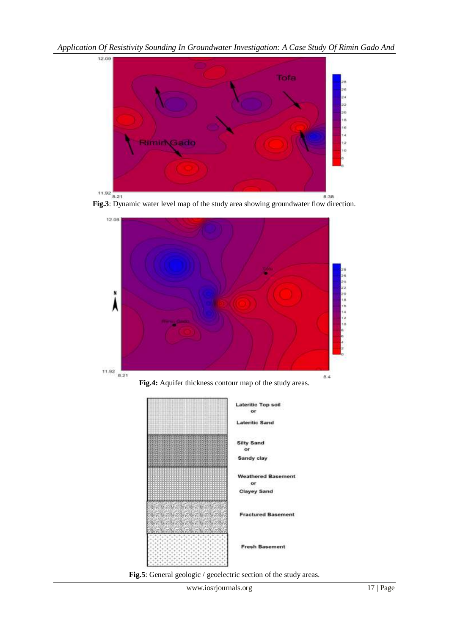*Application Of Resistivity Sounding In Groundwater Investigation: A Case Study Of Rimin Gado And* 







Fig.5: General geologic / geoelectric section of the study areas.

**Fractured Basement** 

**Fresh Basement**